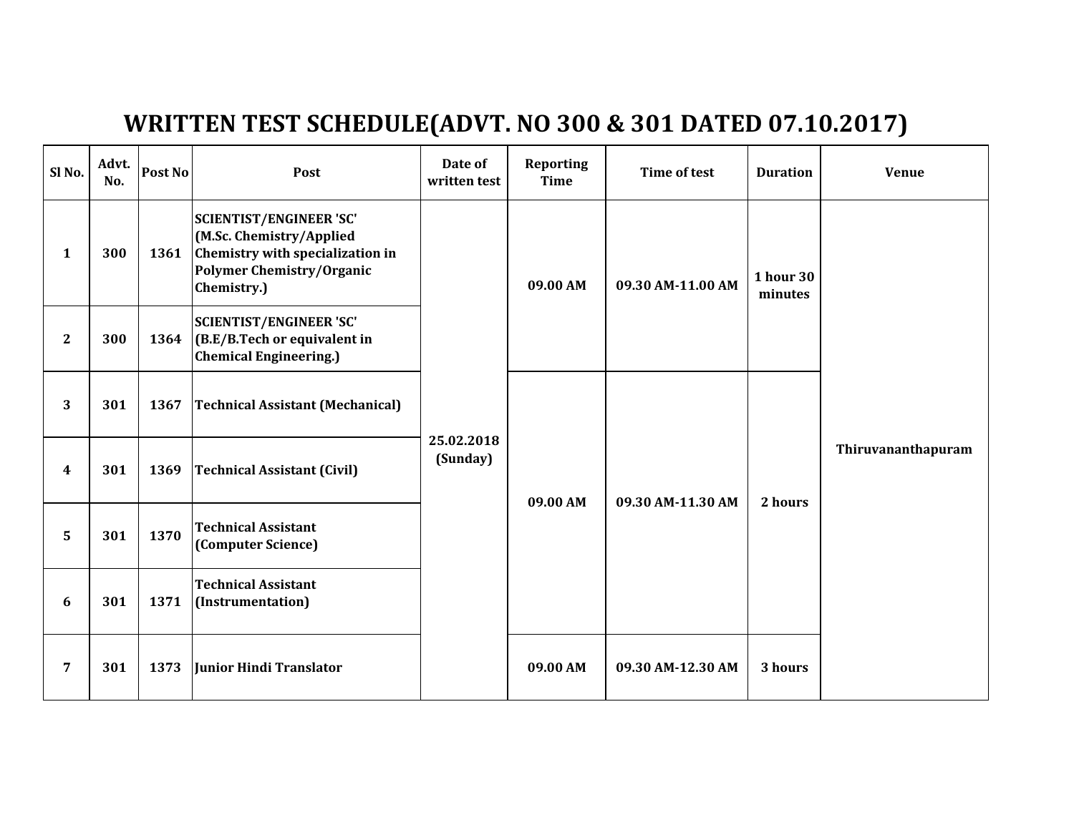## WRITTEN TEST SCHEDULE(ADVT. NO 300 & 301 DATED 07.10.2017)

| Sl No.       | Advt.<br>No. | Post No | Post                                                                                                                                              | Date of<br>written test | <b>Reporting</b><br><b>Time</b> | Time of test      | <b>Duration</b>             | <b>Venue</b>       |
|--------------|--------------|---------|---------------------------------------------------------------------------------------------------------------------------------------------------|-------------------------|---------------------------------|-------------------|-----------------------------|--------------------|
| $\mathbf{1}$ | 300          | 1361    | <b>SCIENTIST/ENGINEER 'SC'</b><br>(M.Sc. Chemistry/Applied<br>Chemistry with specialization in<br><b>Polymer Chemistry/Organic</b><br>Chemistry.) | 25.02.2018<br>(Sunday)  | 09.00 AM                        | 09.30 AM-11.00 AM | <b>1 hour 30</b><br>minutes | Thiruvananthapuram |
| $\mathbf{2}$ | 300          | 1364    | <b>SCIENTIST/ENGINEER 'SC'</b><br>$ $ (B.E/B.Tech or equivalent in<br><b>Chemical Engineering.)</b>                                               |                         |                                 |                   |                             |                    |
| 3            | 301          | 1367    | <b>Technical Assistant (Mechanical)</b>                                                                                                           |                         | 09.00 AM                        | 09.30 AM-11.30 AM | 2 hours                     |                    |
| 4            | 301          | 1369    | <b>Technical Assistant (Civil)</b>                                                                                                                |                         |                                 |                   |                             |                    |
| 5            | 301          | 1370    | <b>Technical Assistant</b><br>(Computer Science)                                                                                                  |                         |                                 |                   |                             |                    |
| 6            | 301          | 1371    | <b>Technical Assistant</b><br>(Instrumentation)                                                                                                   |                         |                                 |                   |                             |                    |
| 7            | 301          | 1373    | Junior Hindi Translator                                                                                                                           |                         | 09.00 AM                        | 09.30 AM-12.30 AM | 3 hours                     |                    |